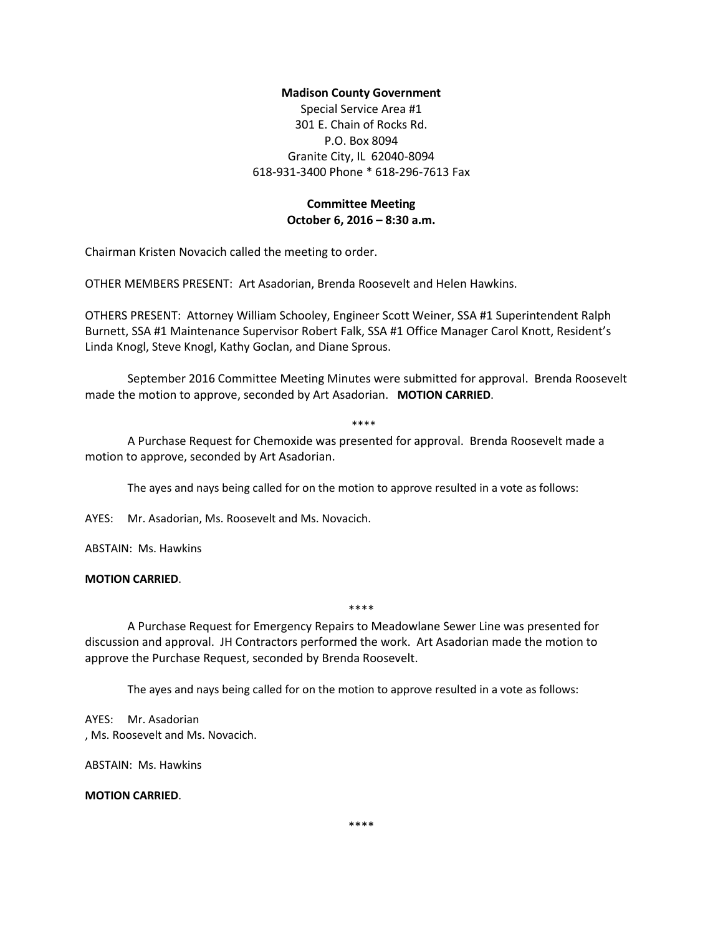## **Madison County Government**

Special Service Area #1 301 E. Chain of Rocks Rd. P.O. Box 8094 Granite City, IL 62040-8094 618-931-3400 Phone \* 618-296-7613 Fax

# **Committee Meeting October 6, 2016 – 8:30 a.m.**

Chairman Kristen Novacich called the meeting to order.

OTHER MEMBERS PRESENT: Art Asadorian, Brenda Roosevelt and Helen Hawkins.

OTHERS PRESENT: Attorney William Schooley, Engineer Scott Weiner, SSA #1 Superintendent Ralph Burnett, SSA #1 Maintenance Supervisor Robert Falk, SSA #1 Office Manager Carol Knott, Resident's Linda Knogl, Steve Knogl, Kathy Goclan, and Diane Sprous.

September 2016 Committee Meeting Minutes were submitted for approval. Brenda Roosevelt made the motion to approve, seconded by Art Asadorian. **MOTION CARRIED**.

\*\*\*\*

A Purchase Request for Chemoxide was presented for approval. Brenda Roosevelt made a motion to approve, seconded by Art Asadorian.

The ayes and nays being called for on the motion to approve resulted in a vote as follows:

AYES: Mr. Asadorian, Ms. Roosevelt and Ms. Novacich.

ABSTAIN: Ms. Hawkins

## **MOTION CARRIED**.

\*\*\*\*

A Purchase Request for Emergency Repairs to Meadowlane Sewer Line was presented for discussion and approval. JH Contractors performed the work. Art Asadorian made the motion to approve the Purchase Request, seconded by Brenda Roosevelt.

The ayes and nays being called for on the motion to approve resulted in a vote as follows:

AYES: Mr. Asadorian , Ms. Roosevelt and Ms. Novacich.

ABSTAIN: Ms. Hawkins

**MOTION CARRIED**.

\*\*\*\*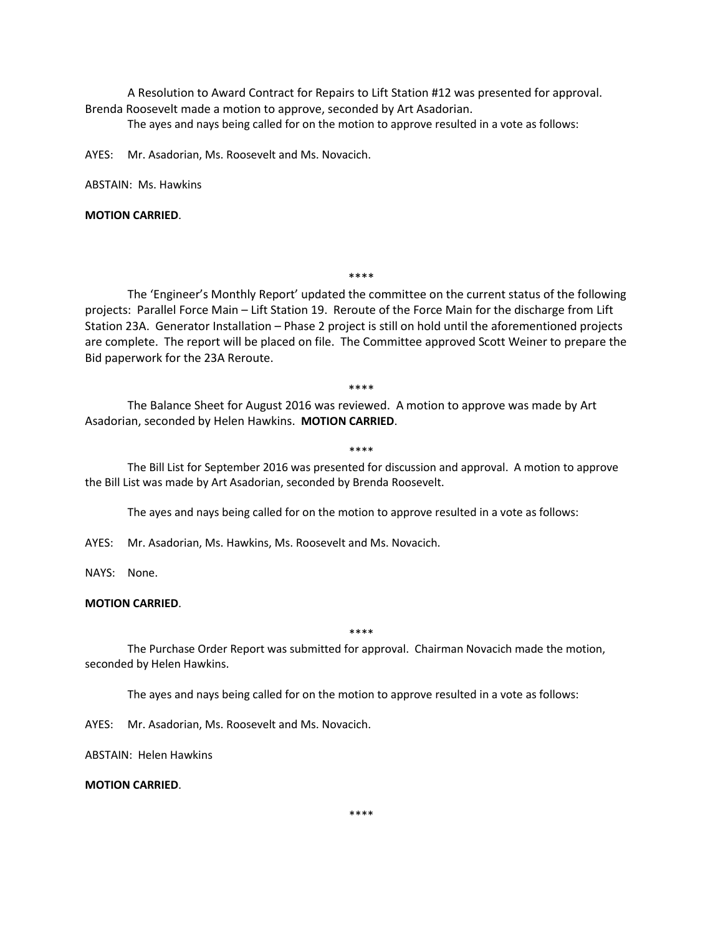A Resolution to Award Contract for Repairs to Lift Station #12 was presented for approval. Brenda Roosevelt made a motion to approve, seconded by Art Asadorian.

The ayes and nays being called for on the motion to approve resulted in a vote as follows:

AYES: Mr. Asadorian, Ms. Roosevelt and Ms. Novacich.

ABSTAIN: Ms. Hawkins

**MOTION CARRIED**.

\*\*\*\*

The 'Engineer's Monthly Report' updated the committee on the current status of the following projects: Parallel Force Main – Lift Station 19. Reroute of the Force Main for the discharge from Lift Station 23A. Generator Installation – Phase 2 project is still on hold until the aforementioned projects are complete. The report will be placed on file. The Committee approved Scott Weiner to prepare the Bid paperwork for the 23A Reroute.

\*\*\*\*

The Balance Sheet for August 2016 was reviewed. A motion to approve was made by Art Asadorian, seconded by Helen Hawkins. **MOTION CARRIED**.

#### \*\*\*\*

The Bill List for September 2016 was presented for discussion and approval. A motion to approve the Bill List was made by Art Asadorian, seconded by Brenda Roosevelt.

The ayes and nays being called for on the motion to approve resulted in a vote as follows:

AYES: Mr. Asadorian, Ms. Hawkins, Ms. Roosevelt and Ms. Novacich.

NAYS: None.

## **MOTION CARRIED**.

\*\*\*\*

The Purchase Order Report was submitted for approval. Chairman Novacich made the motion, seconded by Helen Hawkins.

The ayes and nays being called for on the motion to approve resulted in a vote as follows:

AYES: Mr. Asadorian, Ms. Roosevelt and Ms. Novacich.

ABSTAIN: Helen Hawkins

### **MOTION CARRIED**.